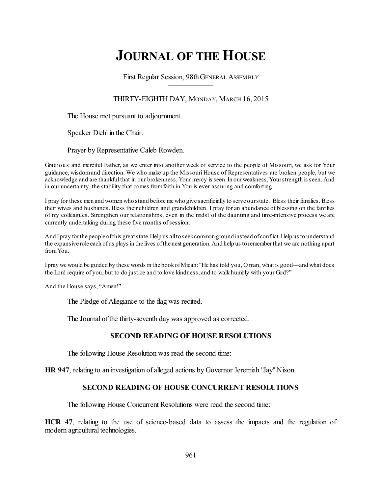# **JOURNAL OF THE HOUSE**

First Regular Session, 98thGENERAL ASSEMBLY

# THIRTY-EIGHTH DAY, MONDAY, MARCH 16, 2015

The House met pursuant to adjournment.

Speaker Diehl in the Chair.

Prayer by Representative Caleb Rowden.

Gracious and merciful Father, as we enter into another week of service to the people of Missouri, we ask for Your guidance, wisdomand direction. We who make up the Missouri House of Representatives are broken people, but we acknowledge and are thankful that in our brokenness, Your mercy is seen.In ourweakness,Yourstrength is seen. And in our uncertainty, the stability that comes fromfaith in You is ever-assuring and comforting.

I pray for thesemen and women who stand beforeme who give sacrificially to serve ourstate. Bless their families. Bless their wives and husbands. Bless their children and grandchildren. I pray for an abundance of blessing on the families of my colleagues. Strengthen our relationships, even in the midst of the daunting and time-intensive process we are currently undertaking during these five months of session.

And I pray for the people of this great state. Help us all to seek common ground instead of conflict. Help us to understand the expansive role each ofus plays in the lives ofthe next generation.And help us to rememberthat we are nothing apart fromYou.

Ipray we would be guided by these words in the bookofMicah:"He has told you, O man, what is good—and what does the Lord require of you, but to do justice and to love kindness, and to walk humbly with your God?"

And the House says, "Amen!"

The Pledge of Allegiance to the flag was recited.

The Journal of the thirty-seventh day was approved as corrected.

## **SECOND READING OF HOUSE RESOLUTIONS**

The following House Resolution was read the second time:

**HR 947**, relating to an investigation of alleged actions by Governor Jeremiah "Jay" Nixon.

## **SECOND READING OF HOUSE CONCURRENT RESOLUTIONS**

The following House Concurrent Resolutions were read the second time:

**HCR 47**, relating to the use of science-based data to assess the impacts and the regulation of modern agricultural technologies.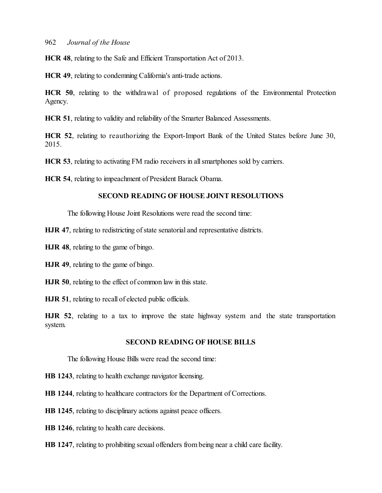**HCR 48**, relating to the Safe and Efficient Transportation Act of 2013.

**HCR 49**, relating to condemning California's anti-trade actions.

**HCR 50**, relating to the withdrawal of proposed regulations of the Environmental Protection Agency.

**HCR 51**, relating to validity and reliability of the Smarter Balanced Assessments.

**HCR 52**, relating to reauthorizing the Export-Import Bank of the United States before June 30, 2015.

**HCR 53**, relating to activating FM radio receivers in all smartphones sold by carriers.

**HCR 54**, relating to impeachment of President Barack Obama.

#### **SECOND READING OF HOUSE JOINT RESOLUTIONS**

The following House Joint Resolutions were read the second time:

**HJR 47**, relating to redistricting of state senatorial and representative districts.

**HJR 48**, relating to the game of bingo.

**HJR 49**, relating to the game of bingo.

**HJR 50**, relating to the effect of common law in this state.

**HJR 51**, relating to recall of elected public officials.

**HJR 52**, relating to a tax to improve the state highway system and the state transportation system.

#### **SECOND READING OF HOUSE BILLS**

The following House Bills were read the second time:

**HB 1243**, relating to health exchange navigator licensing.

**HB 1244**, relating to healthcare contractors for the Department of Corrections.

**HB 1245**, relating to disciplinary actions against peace officers.

**HB 1246**, relating to health care decisions.

**HB 1247**, relating to prohibiting sexual offenders frombeing near a child care facility.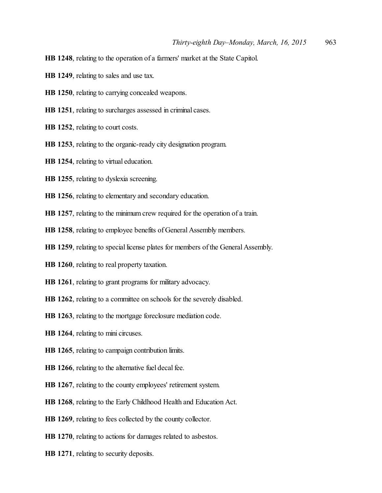- **HB 1248**, relating to the operation of a farmers' market at the State Capitol.
- **HB 1249**, relating to sales and use tax.
- **HB 1250**, relating to carrying concealed weapons.
- **HB 1251**, relating to surcharges assessed in criminal cases.
- **HB 1252**, relating to court costs.
- **HB 1253**, relating to the organic-ready city designation program.
- **HB 1254**, relating to virtual education.
- **HB 1255**, relating to dyslexia screening.
- **HB 1256**, relating to elementary and secondary education.
- **HB 1257**, relating to the minimum crew required for the operation of a train.
- **HB 1258**, relating to employee benefits of General Assembly members.
- HB 1259, relating to special license plates for members of the General Assembly.
- **HB 1260**, relating to real property taxation.
- **HB 1261**, relating to grant programs for military advocacy.
- **HB 1262**, relating to a committee on schools for the severely disabled.
- **HB 1263**, relating to the mortgage foreclosure mediation code.
- **HB 1264**, relating to mini circuses.
- **HB 1265**, relating to campaign contribution limits.
- **HB 1266**, relating to the alternative fuel decal fee.
- **HB 1267**, relating to the county employees' retirement system.
- **HB 1268**, relating to the Early Childhood Health and Education Act.
- **HB 1269**, relating to fees collected by the county collector.
- **HB 1270**, relating to actions for damages related to asbestos.
- **HB 1271**, relating to security deposits.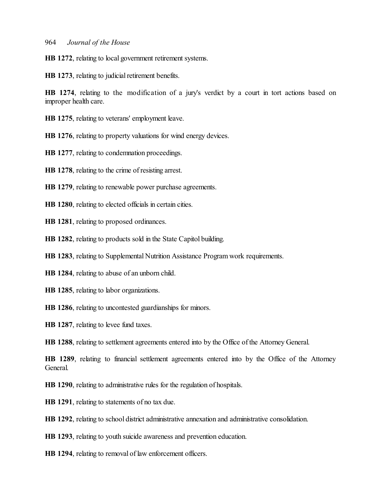**HB 1272**, relating to local government retirement systems.

**HB 1273**, relating to judicial retirement benefits.

**HB 1274**, relating to the modification of a jury's verdict by a court in tort actions based on improper health care.

**HB 1275**, relating to veterans' employment leave.

**HB 1276**, relating to property valuations for wind energy devices.

**HB 1277**, relating to condemnation proceedings.

**HB 1278**, relating to the crime ofresisting arrest.

**HB 1279**, relating to renewable power purchase agreements.

**HB 1280**, relating to elected officials in certain cities.

**HB 1281**, relating to proposed ordinances.

**HB 1282**, relating to products sold in the State Capitol building.

**HB 1283**, relating to Supplemental Nutrition Assistance Program work requirements.

**HB 1284**, relating to abuse of an unborn child.

**HB 1285**, relating to labor organizations.

**HB 1286**, relating to uncontested guardianships for minors.

**HB 1287**, relating to levee fund taxes.

**HB 1288**, relating to settlement agreements entered into by the Office of the Attorney General.

**HB 1289**, relating to financial settlement agreements entered into by the Office of the Attorney General.

**HB 1290**, relating to administrative rules for the regulation of hospitals.

**HB 1291**, relating to statements of no tax due.

**HB 1292**, relating to school district administrative annexation and administrative consolidation.

**HB 1293**, relating to youth suicide awareness and prevention education.

**HB 1294**, relating to removal of law enforcement officers.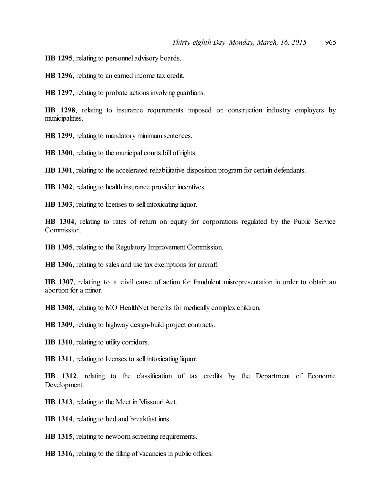**HB 1295**, relating to personnel advisory boards.

**HB 1296**, relating to an earned income tax credit.

**HB 1297**, relating to probate actions involving guardians.

**HB 1298**, relating to insurance requirements imposed on construction industry employers by municipalities.

**HB 1299**, relating to mandatory minimum sentences.

**HB 1300**, relating to the municipal courts bill of rights.

**HB 1301**, relating to the accelerated rehabilitative disposition program for certain defendants.

**HB 1302**, relating to health insurance provider incentives.

**HB 1303**, relating to licenses to sell intoxicating liquor.

**HB 1304**, relating to rates of return on equity for corporations regulated by the Public Service Commission.

**HB 1305**, relating to the Regulatory Improvement Commission.

**HB 1306**, relating to sales and use tax exemptions for aircraft.

**HB 1307**, relating to a civil cause of action for fraudulent misrepresentation in order to obtain an abortion for a minor.

**HB 1308**, relating to MO HealthNet benefits for medically complex children.

**HB 1309**, relating to highway design-build project contracts.

**HB 1310**, relating to utility corridors.

**HB 1311**, relating to licenses to sell intoxicating liquor.

**HB 1312**, relating to the classification of tax credits by the Department of Economic Development.

**HB 1313**, relating to the Meet in Missouri Act.

**HB 1314**, relating to bed and breakfast inns.

**HB 1315**, relating to newborn screening requirements.

**HB 1316**, relating to the filling of vacancies in public offices.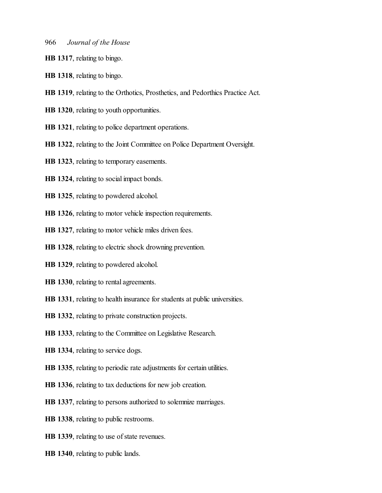- **HB 1317**, relating to bingo.
- **HB 1318**, relating to bingo.
- **HB 1319**, relating to the Orthotics, Prosthetics, and Pedorthics Practice Act.
- **HB 1320**, relating to youth opportunities.
- **HB 1321**, relating to police department operations.
- **HB 1322**, relating to the Joint Committee on Police Department Oversight.
- **HB 1323**, relating to temporary easements.
- **HB 1324**, relating to social impact bonds.
- **HB 1325**, relating to powdered alcohol.
- **HB 1326**, relating to motor vehicle inspection requirements.
- **HB 1327**, relating to motor vehicle miles driven fees.
- **HB 1328**, relating to electric shock drowning prevention.
- **HB 1329**, relating to powdered alcohol.
- **HB 1330**, relating to rental agreements.
- **HB 1331**, relating to health insurance for students at public universities.
- **HB 1332**, relating to private construction projects.
- **HB 1333**, relating to the Committee on Legislative Research.
- **HB 1334**, relating to service dogs.
- **HB 1335**, relating to periodic rate adjustments for certain utilities.
- **HB 1336**, relating to tax deductions for new job creation.
- **HB 1337**, relating to persons authorized to solemnize marriages.
- **HB 1338**, relating to public restrooms.
- **HB 1339**, relating to use of state revenues.
- **HB 1340**, relating to public lands.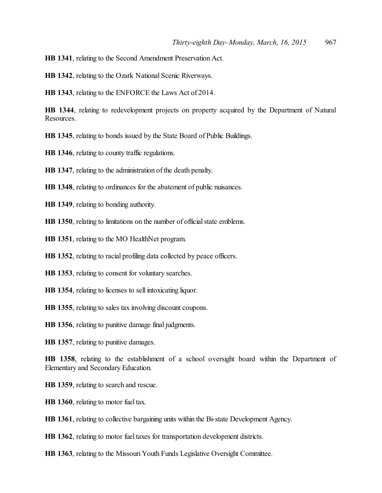**HB 1341**, relating to the Second Amendment Preservation Act.

**HB 1342**, relating to the Ozark National Scenic Riverways.

**HB 1343**, relating to the ENFORCE the Laws Act of 2014.

**HB 1344**, relating to redevelopment projects on property acquired by the Department of Natural Resources.

**HB 1345**, relating to bonds issued by the State Board of Public Buildings.

**HB 1346**, relating to county traffic regulations.

**HB 1347**, relating to the administration of the death penalty.

**HB 1348**, relating to ordinances for the abatement of public nuisances.

**HB 1349**, relating to bonding authority.

**HB 1350**, relating to limitations on the number of official state emblems.

**HB 1351**, relating to the MO HealthNet program.

**HB 1352**, relating to racial profiling data collected by peace officers.

**HB 1353**, relating to consent for voluntary searches.

**HB 1354**, relating to licenses to sell intoxicating liquor.

**HB 1355**, relating to sales tax involving discount coupons.

**HB 1356**, relating to punitive damage final judgments.

**HB 1357**, relating to punitive damages.

**HB 1358**, relating to the establishment of a school oversight board within the Department of Elementary and Secondary Education.

**HB 1359**, relating to search and rescue.

**HB 1360**, relating to motor fuel tax.

**HB 1361**, relating to collective bargaining units within the Bi-state Development Agency.

**HB 1362**, relating to motor fuel taxes for transportation development districts.

**HB 1363**, relating to the Missouri Youth Funds Legislative Oversight Committee.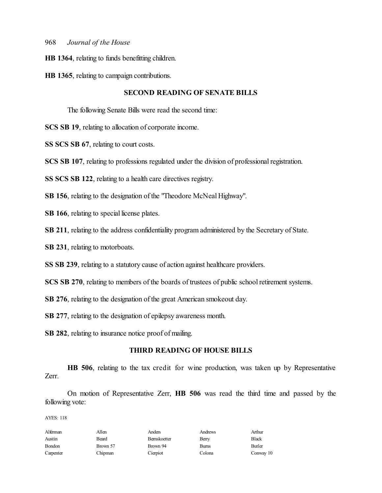- **HB 1364**, relating to funds benefitting children.
- **HB 1365**, relating to campaign contributions.

#### **SECOND READING OF SENATE BILLS**

The following Senate Bills were read the second time:

**SCS SB 19**, relating to allocation of corporate income.

**SS SCS SB 67**, relating to court costs.

**SCS SB 107**, relating to professions regulated under the division of professional registration.

**SS SCS SB 122**, relating to a health care directives registry.

**SB 156**, relating to the designation of the "Theodore McNeal Highway".

**SB 166**, relating to special license plates.

**SB 211**, relating to the address confidentiality program administered by the Secretary of State.

**SB 231**, relating to motorboats.

**SS SB 239**, relating to a statutory cause of action against healthcare providers.

**SCS SB 270**, relating to members of the boards of trustees of public school retirement systems.

**SB 276**, relating to the designation of the great American smokeout day.

**SB 277**, relating to the designation of epilepsy awareness month.

**SB 282**, relating to insurance notice proof of mailing.

#### **THIRD READING OF HOUSE BILLS**

**HB 506**, relating to the tax credit for wine production, was taken up by Representative Zerr.

On motion of Representative Zerr, **HB 506** was read the third time and passed by the following vote:

| Allen    | Anders       | Andrews      | Arthur    |
|----------|--------------|--------------|-----------|
| Beard    | Bernskoetter | Berry        | Black     |
| Brown 57 | Brown 94     | <b>Burns</b> | Butler    |
| Chipman  | Cierpiot     | Colona       | Conway 10 |
|          |              |              |           |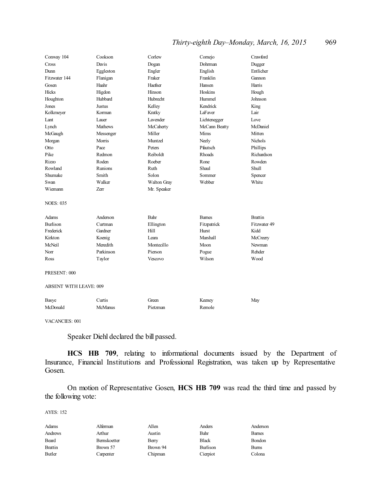# *Thirty-eighth Day–Monday, March, 16, 2015* 969

| Conway 104                    | Cookson        | Corlew      | Comejo          | Crawford       |
|-------------------------------|----------------|-------------|-----------------|----------------|
| Cross                         | Davis          | Dogan       | Dohrman         | Dugger         |
| Dunn                          | Eggleston      | Engler      | English         | Entlicher      |
| Fitzwater 144                 | Flanigan       | Fraker      | Franklin        | Gannon         |
| Gosen                         | Haahr          | Haefner     | Hansen          | Harris         |
| Hicks                         | Higdon         | Hinson      | Hoskins         | Hough          |
| Houghton                      | Hubbard        | Hubrecht    | Hummel          | Johnson        |
| Jones                         | Justus         | Kelley      | Kendrick        | King           |
| Kolkmeyer                     | Korman         | Kratky      | LaFaver         | Lair           |
| Lant                          | Lauer          | Lavender    | Lichtenegger    | Love           |
| Lynch                         | Mathews        | McCaherty   | McCann Beatty   | McDaniel       |
| McGaugh                       | Messenger      | Miller      | Mims            | Mitten         |
| Morgan                        | Morris         | Muntzel     | Neely           | <b>Nichols</b> |
| Otto                          | Pace           | Peters      | Pfautsch        | Phillips       |
| Pike                          | Redmon         | Reiboldt    | Rhoads          | Richardson     |
| Rizzo                         | Roden          | Roeber      | Rone            | Rowden         |
| Rowland                       | <b>Runions</b> | Ruth        | Shaul           | <b>Shull</b>   |
| Shumake                       | Smith          | Solon       | Sommer          | Spencer        |
| Swan                          | Walker         | Walton Gray | Webber          | White          |
| Wiemann                       | Zerr           | Mr. Speaker |                 |                |
| <b>NOES: 035</b>              |                |             |                 |                |
| Adams                         | Anderson       | Bahr        | <b>Barnes</b>   | <b>Brattin</b> |
| <b>Burlison</b>               | Curtman        | Ellington   | Fitzpatrick     | Fitzwater 49   |
| Frederick                     | Gardner        | Hill        | Hurst           | Kidd           |
| Kirkton                       | Koenig         | I eara      | <b>Marshall</b> | McCreery       |
| McNeil                        | Meredith       | Montecillo  | Moon            | Newman         |
| Norr                          | Parkinson      | Pierson     | Pogue           | Rehder         |
| Ross                          | Taylor         | Vescovo     | Wilson          | Wood           |
| PRESENT: 000                  |                |             |                 |                |
| <b>ABSENT WITH LEAVE: 009</b> |                |             |                 |                |

| Basye    | Jurtis  | freen    | Keeney | May |
|----------|---------|----------|--------|-----|
| McDonald | McManus | Pietzman | Remole |     |

VACANCIES: 001

Speaker Diehl declared the bill passed.

**HCS HB 709**, relating to informational documents issued by the Department of Insurance, Financial Institutions and Professional Registration, was taken up by Representative Gosen.

On motion of Representative Gosen, **HCS HB 709** was read the third time and passed by the following vote:

| Alferman     | Allen    | Anders       | Anderson     |
|--------------|----------|--------------|--------------|
| Arthur       | Austin   | Bahr         | <b>Bames</b> |
| Bernskoetter |          | <b>Black</b> | Bondon       |
| Brown 57     | Brown 94 | Burlison     | Burns        |
| Carpenter    | Chipman  | Cierpiot     | Colona       |
|              |          | Berry        |              |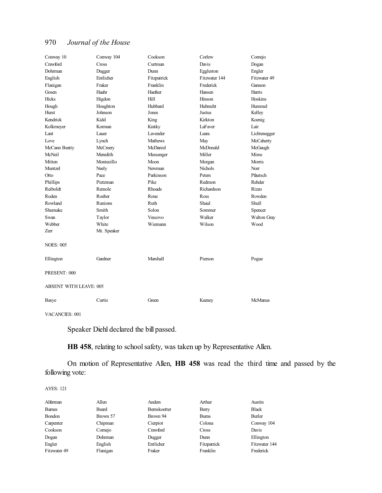| Conway 10                     | Conway 104  | Cookson         | Corlew         | Comejo       |
|-------------------------------|-------------|-----------------|----------------|--------------|
| Crawford                      | Cross       | Curtman         | Davis          | Dogan        |
| Dohrman                       | Dugger      | Dunn            | Eggleston      | Engler       |
| English                       | Entlicher   | Fitzpatrick     | Fitzwater 144  | Fitzwater 49 |
| Flanigan                      | Fraker      | Franklin        | Frederick      | Gannon       |
| Gosen                         | Haahr       | Haefner         | Hansen         | Harris       |
| Hicks                         | Higdon      | Hill            | Hinson         | Hoskins      |
| Hough                         | Houghton    | Hubbard         | Hubrecht       | Hummel       |
| Hurst                         | Johnson     | Jones           | <b>Justus</b>  | Kelley       |
| Kendrick                      | Kidd        | King            | Kirkton        | Koenig       |
| Kolkmeyer                     | Korman      | Kratky          | LaFaver        | Lair         |
| Lant                          | Lauer       | <b>Lavender</b> | I eara         | Lichtenegger |
| Love                          | Lynch       | <b>Mathews</b>  | May            | McCaherty    |
| McCann Beatty                 | McCreery    | McDaniel        | McDonald       | McGaugh      |
| McNeil                        | Meredith    | Messenger       | Miller         | Mims         |
| Mitten                        | Montecillo  | Moon            | Morgan         | Morris       |
| Muntzel                       | Neely       | Newman          | <b>Nichols</b> | Norr         |
| Otto                          | Pace        | Parkinson       | Peters         | Pfautsch     |
| Phillips                      | Pietzman    | Pike            | Redmon         | Rehder       |
| Reiboldt                      | Remole      | Rhoads          | Richardson     | Rizzo        |
| Roden                         | Roeber      | Rone            | Ross           | Rowden       |
| Rowland                       | Runions     | Ruth            | Shaul          | Shull        |
| Shumake                       | Smith       | Solon           | Sommer         | Spencer      |
| Swan                          | Taylor      | Vescovo         | Walker         | Walton Gray  |
| Webber                        | White       | Wiemann         | Wilson         | Wood         |
| Zerr                          | Mr. Speaker |                 |                |              |
| <b>NOES: 005</b>              |             |                 |                |              |
| Ellington                     | Gardner     | Marshall        | Pierson        | Pogue        |
| PRESENT: 000                  |             |                 |                |              |
| <b>ABSENT WITH LEAVE: 005</b> |             |                 |                |              |
| Basye                         | Curtis      | Green           | Keeney         | McManus      |

VACANCIES: 001

Speaker Diehl declared the bill passed.

**HB 458**, relating to school safety, was taken up by Representative Allen.

On motion of Representative Allen, **HB 458** was read the third time and passed by the following vote:

| Alferman      | Allen        | Anders       | Arthur       | Austin        |
|---------------|--------------|--------------|--------------|---------------|
| <b>Barnes</b> | <b>Beard</b> | Bernskoetter | Berry        | <b>Black</b>  |
| Bondon        | Brown 57     | Brown 94     | <b>Burns</b> | Butler        |
| Carpenter     | Chipman      | Cierpiot     | Colona       | Conway 104    |
| Cookson       | Comejo       | Crawford     | Cross        | Davis         |
| Dogan         | Dohrman      | Dugger       | Dunn         | Ellington     |
| Engler        | English      | Entlicher    | Fitzpatrick  | Fitzwater 144 |
| Fitzwater 49  | Flanigan     | Fraker       | Franklin     | Frederick     |
|               |              |              |              |               |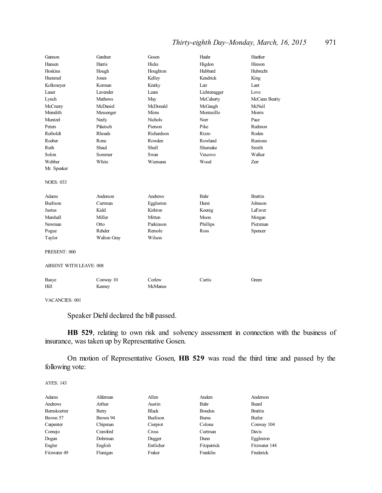# *Thirty-eighth Day–Monday, March, 16, 2015* 971

| Gannon                        | Gardner        | Gosen          | Haahr        | Haefner        |
|-------------------------------|----------------|----------------|--------------|----------------|
| Hansen                        | Harris         | Hicks          | Higdon       | Hinson         |
| Hoskins                       | Hough          | Houghton       | Hubbard      | Hubrecht       |
| Hummel                        | Jones          | Kelley         | Kendrick     | King           |
| Kolkmeyer                     | Korman         | Kratky         | Lair         | Lant           |
| Lauer                         | Lavender       | Leara          | Lichtenegger | Love           |
| Lynch                         | <b>Mathews</b> | May            | McCaherty    | McCann Beatty  |
| McCreery                      | McDaniel       | McDonald       | McGaugh      | McNeil         |
| Meredith                      | Messenger      | Mims           | Montecillo   | Morris         |
| Muntzel                       | Neely          | Nichols        | Norr         | Pace           |
| Peters                        | Pfautsch       | Pierson        | Pike         | Redmon         |
| Reiboldt                      | Rhoads         | Richardson     | <b>Rizzo</b> | Roden          |
| Roeber                        | Rone           | Rowden         | Rowland      | <b>Runions</b> |
| Ruth                          | Shaul          | <b>Shull</b>   | Shumake      | Smith          |
| Solon                         | Sommer         | Swan           | Vescovo      | Walker         |
| Webber                        | White          | Wiemann        | Wood         | Zerr           |
| Mr. Speaker                   |                |                |              |                |
| <b>NOES: 033</b>              |                |                |              |                |
| Adams                         | Anderson       | Andrews        | Bahr         | <b>Brattin</b> |
| <b>Burlison</b>               | Curtman        | Eggleston      | Hurst        | Johnson        |
| Justus                        | Kidd           | Kirkton        | Koenig       | LaFaver        |
| Marshall                      | Miller         | Mitten         | Moon         | Morgan         |
| Newman                        | Otto           | Parkinson      | Phillips     | Pietzman       |
| Pogue                         | Rehder         | Remole         | Ross         | Spencer        |
| Taylor                        | Walton Gray    | Wilson         |              |                |
| PRESENT: 000                  |                |                |              |                |
| <b>ABSENT WITH LEAVE: 008</b> |                |                |              |                |
|                               |                |                |              |                |
| Basye                         | Conway 10      | Corlew         | Curtis       | Green          |
| Hill                          | Keeney         | <b>McManus</b> |              |                |
|                               |                |                |              |                |

VACANCIES: 001

Speaker Diehl declared the bill passed.

**HB 529**, relating to own risk and solvency assessment in connection with the business of insurance, was taken up by Representative Gosen.

On motion of Representative Gosen, **HB 529** was read the third time and passed by the following vote:

| Adams        | Alferman | Allen        | Anders        | Anderson       |
|--------------|----------|--------------|---------------|----------------|
| Andrews      | Arthur   | Austin       | Bahr          | Beard          |
| Bernskoetter | Berry    | <b>Black</b> | <b>Bondon</b> | <b>Brattin</b> |
| Brown 57     | Brown 94 | Burlison     | <b>Bums</b>   | Butler         |
| Carpenter    | Chipman  | Cierpiot     | Colona        | Conway 104     |
| Cornejo      | Crawford | <b>Cross</b> | Curtman       | Davis          |
| Dogan        | Dohrman  | Dugger       | Dunn          | Eggleston      |
| Engler       | English  | Entlicher    | Fitzpatrick   | Fitzwater 144  |
| Fitzwater 49 | Flanigan | Fraker       | Franklin      | Frederick      |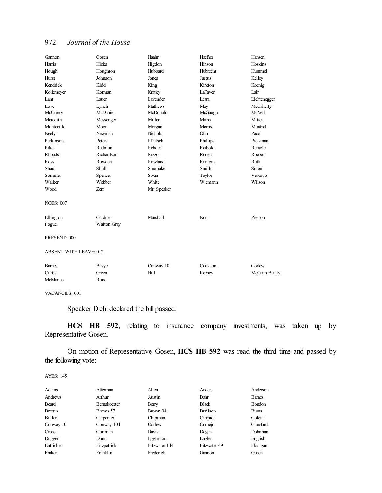| Gannon                        | Gosen       | Haahr           | Haefner        | Hansen        |
|-------------------------------|-------------|-----------------|----------------|---------------|
| Harris                        | Hicks       | Higdon          | Hinson         | Hoskins       |
| Hough                         | Houghton    | Hubbard         | Hubrecht       | Hummel        |
| Hurst                         | Johnson     | Jones           | <b>Justus</b>  | Kelley        |
| Kendrick                      | Kidd        | King            | Kirkton        | Koenig        |
| Kolkmeyer                     | Korman      | Kratky          | LaFaver        | Lair          |
| Lant                          | Lauer       | <b>Lavender</b> | Leara          | Lichtenegger  |
| Love                          | Lynch       | Mathews         | May            | McCaherty     |
| McCreery                      | McDaniel    | McDonald        | McGaugh        | McNeil        |
| Meredith                      | Messenger   | Miller          | Mims           | Mitten        |
| Montecillo                    | Moon        | Morgan          | Morris         | Muntzel       |
| Neely                         | Newman      | Nichols         | Otto           | Pace          |
| Parkinson                     | Peters      | Pfautsch        | Phillips       | Pietzman      |
| Pike                          | Redmon      | Rehder          | Reiboldt       | Remole        |
| Rhoads                        | Richardson  | Rizzo           | Roden          | Roeber        |
| Ross                          | Rowden      | Rowland         | <b>Runions</b> | Ruth          |
| Shaul                         | Shull       | Shumake         | Smith          | Solon         |
| Sommer                        | Spencer     | Swan            | Taylor         | Vescovo       |
| Walker                        | Webber      | White           | Wiemann        | Wilson        |
| Wood                          | Zerr        | Mr. Speaker     |                |               |
| <b>NOES: 007</b>              |             |                 |                |               |
| Ellington                     | Gardner     | <b>Marshall</b> | Norr           | Pierson       |
| Pogue                         | Walton Gray |                 |                |               |
| PRESENT: 000                  |             |                 |                |               |
| <b>ABSENT WITH LEAVE: 012</b> |             |                 |                |               |
| <b>Barnes</b>                 | Basye       | Conway 10       | Cookson        | Corlew        |
| Curtis                        | Green       | Hill            | Keeney         | McCann Beatty |
| <b>McManus</b>                | Rone        |                 |                |               |

VACANCIES: 001

Speaker Diehl declared the bill passed.

**HCS HB 592**, relating to insurance company investments, was taken up by Representative Gosen.

On motion of Representative Gosen, **HCS HB 592** was read the third time and passed by the following vote:

| Adams     | Alferman            | Allen         | Anders       | Anderson      |
|-----------|---------------------|---------------|--------------|---------------|
| Andrews   | Arthur              | Austin        | Bahr         | <b>Barnes</b> |
| Beard     | <b>Bernskoetter</b> | Berry         | <b>Black</b> | Bondon        |
| Brattin   | Brown 57            | Brown 94      | Burlison     | <b>Burns</b>  |
| Butler    | Carpenter           | Chipman       | Cierpiot     | Colona        |
| Conway 10 | Conway 104          | Corlew        | Comejo       | Crawford      |
| Cross     | Curtman             | Davis         | Dogan        | Dohrman       |
| Dugger    | Dunn                | Eggleston     | Engler       | English       |
| Entlicher | Fitzpatrick         | Fitzwater 144 | Fitzwater 49 | Flanigan      |
| Fraker    | Franklin            | Frederick     | Gannon       | Gosen         |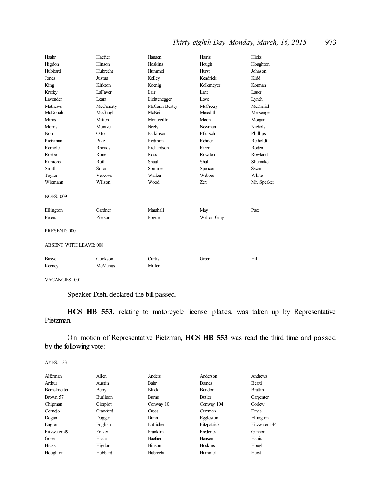# *Thirty-eighth Day–Monday, March, 16, 2015* 973

| Haahr                         | Haefner        | Hansen        | Harris      | Hicks          |
|-------------------------------|----------------|---------------|-------------|----------------|
| Higdon                        | Hinson         | Hoskins       | Hough       | Houghton       |
| Hubbard                       | Hubrecht       | Hummel        | Hurst       | Johnson        |
| Jones                         | Justus         | Kelley        | Kendrick    | Kidd           |
| King                          | Kirkton        | Koenig        | Kolkmeyer   | Korman         |
| Kratky                        | LaFaver        | Lair          | Lant        | Lauer          |
| <b>Lavender</b>               | Leara          | Lichtenegger  | Love        | Lynch          |
| <b>Mathews</b>                | McCaherty      | McCann Beatty | McCreery    | McDaniel       |
| McDonald                      | McGaugh        | McNeil        | Meredith    | Messenger      |
| Mims                          | Mitten         | Montecillo    | Moon        | Morgan         |
| Morris                        | Muntzel        | Neely         | Newman      | <b>Nichols</b> |
| Norr                          | Otto           | Parkinson     | Pfautsch    | Phillips       |
| Pietzman                      | Pike           | Redmon        | Rehder      | Reiboldt       |
| Remole                        | Rhoads         | Richardson    | Rizzo       | Roden          |
| Roeber                        | Rone           | Ross          | Rowden      | Rowland        |
| Runions                       | Ruth           | Shaul         | Shull       | Shumake        |
| Smith                         | Solon          | Sommer        | Spencer     | Swan           |
| Taylor                        | Vescovo        | Walker        | Webber      | White          |
| Wiemann                       | Wilson         | Wood          | Zerr        | Mr. Speaker    |
| <b>NOES: 009</b>              |                |               |             |                |
| Ellington                     | Gardner        | Marshall      | May         | Pace           |
| Peters                        | Pierson        | Pogue         | Walton Gray |                |
| PRESENT: 000                  |                |               |             |                |
| <b>ABSENT WITH LEAVE: 008</b> |                |               |             |                |
| Basye                         | Cookson        | Curtis        | Green       | Hill           |
| Keeney                        | <b>McManus</b> | Miller        |             |                |

VACANCIES: 001

Speaker Diehl declared the bill passed.

**HCS HB 553**, relating to motorcycle license plates, was taken up by Representative Pietzman.

On motion of Representative Pietzman, **HCS HB 553** was read the third time and passed by the following vote:

| Alferman            | Allen    | Anders       | Anderson      | Andrews        |
|---------------------|----------|--------------|---------------|----------------|
| Arthur              | Austin   | Bahr         | <b>Barnes</b> | Beard          |
| <b>Bernskoetter</b> | Berry    | <b>Black</b> | Bondon        | <b>Brattin</b> |
| Brown 57            | Burlison | <b>Bums</b>  | <b>Butler</b> | Carpenter      |
| Chipman             | Cierpiot | Conway 10    | Conway 104    | Corlew         |
| Comejo              | Crawford | <b>Cross</b> | Curtman       | Davis          |
| Dogan               | Dugger   | Dunn         | Eggleston     | Ellington      |
| Engler              | English  | Entlicher    | Fitzpatrick   | Fitzwater 144  |
| Fitzwater 49        | Fraker   | Franklin     | Frederick     | Gannon         |
| Gosen               | Haahr    | Haefner      | Hansen        | Harris         |
| Hicks               | Higdon   | Hinson       | Hoskins       | Hough          |
| Houghton            | Hubbard  | Hubrecht     | Hummel        | Hurst          |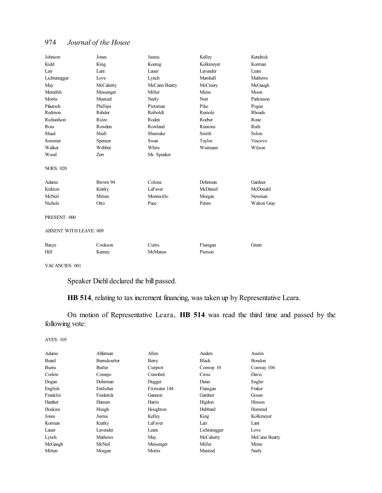| Johnson                       | Jones        | Justus         | Kelley          | Kendrick    |
|-------------------------------|--------------|----------------|-----------------|-------------|
| Kidd                          | King         | Koenig         | Kolkmeyer       | Korman      |
| Lair                          | Lant         | Lauer          | <b>Lavender</b> | Leara       |
| Lichtenegger                  | Love         | Lynch          | Marshall        | Mathews     |
| May                           | McCaherty    | McCann Beatty  | McCreery        | McGaugh     |
| Meredith                      | Messenger    | Miller         | Mims            | Moon        |
| Morris                        | Muntzel      | Neely          | Norr            | Parkinson   |
| Pfautsch                      | Phillips     | Pietzman       | Pike            | Pogue       |
| Redmon                        | Rehder       | Reiboldt       | Remole          | Rhoads      |
| Richardson                    | <b>Rizzo</b> | Roden          | Roeber          | Rone        |
| Ross                          | Rowden       | Rowland        | <b>Runions</b>  | Ruth        |
| Shaul                         | Shull        | Shumake        | Smith           | Solon       |
| Sommer                        | Spencer      | Swan           | Taylor          | Vescovo     |
| Walker                        | Webber       | White          | Wiemann         | Wilson      |
| Wood                          | Zerr         | Mr. Speaker    |                 |             |
| <b>NOES: 020</b>              |              |                |                 |             |
| Adams                         | Brown 94     | Colona         | Dohrman         | Gardner     |
| Kirkton                       | Kratky       | LaFaver        | McDaniel        | McDonald    |
| McNeil                        | Mitten       | Montecillo     | Morgan          | Newman      |
| Nichols                       | Otto         | Pace           | Peters          | Walton Gray |
| PRESENT: 000                  |              |                |                 |             |
| <b>ABSENT WITH LEAVE: 009</b> |              |                |                 |             |
| Basye                         | Cookson      | Curtis         | Flanigan        | Green       |
| Hill                          | Keeney       | <b>McManus</b> | Pierson         |             |
|                               |              |                |                 |             |

VACANCIES: 001

Speaker Diehl declared the bill passed.

**HB 514**, relating to tax increment financing, was taken up by Representative Leara.

On motion of Representative Leara, **HB 514** was read the third time and passed by the following vote:

|                     |               |              | Austin        |
|---------------------|---------------|--------------|---------------|
| <b>Bernskoetter</b> | Berry         | <b>Black</b> | <b>Bondon</b> |
| Butler              | Cierpiot      | Conway 10    | Conway 104    |
| Comejo              | Crawford      | Cross        | Davis         |
| Dohrman             | Dugger        | Dunn         | Engler        |
| Entlicher           | Fitzwater 144 | Flanigan     | Fraker        |
| Frederick           | Gannon        | Gardner      | Gosen         |
| Hansen              | Harris        | Higdon       | Hinson        |
| Hough               | Houghton      | Hubbard      | Hummel        |
| Justus              | Kelley        | King         | Kolkmeyer     |
| Kratky              | LaFaver       | Lair         | Lant          |
| Lavender            | Leara         | Lichtenegger | Love          |
| <b>Mathews</b>      | May           | McCaherty    | McCann Beatty |
| McNeil              | Messenger     | Miller       | Mims          |
| Morgan              | Morris        | Muntzel      | Neely         |
|                     | Alferman      | Allen        | Anders        |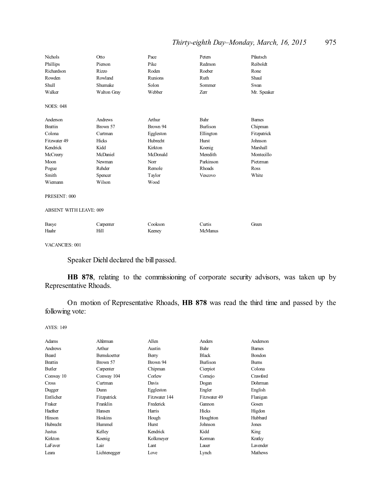# *Thirty-eighth Day–Monday, March, 16, 2015* 975

| Nichols          | Otto               | Pace      | Peters    | Pfautsch      |
|------------------|--------------------|-----------|-----------|---------------|
| Phillips         | Pierson            | Pike      | Redmon    | Reiboldt      |
| Richardson       | <b>Rizzo</b>       | Roden     | Roeber    | Rone          |
| Rowden           | Rowland            | Runions   | Ruth      | Shaul         |
| <b>Shull</b>     | Shumake            | Solon     | Sommer    | Swan          |
| Walker           | <b>Walton Gray</b> | Webber    | Zerr      | Mr. Speaker   |
| <b>NOES: 048</b> |                    |           |           |               |
| Anderson         | Andrews            | Arthur    | Bahr      | <b>Barnes</b> |
| <b>Brattin</b>   | Brown 57           | Brown 94  | Burlison  | Chipman       |
| Colona           | Curtman            | Eggleston | Ellington | Fitzpatrick   |
| Fitzwater 49     | Hicks              | Hubrecht  | Hurst     | Johnson       |
| Kendrick         | Kidd               | Kirkton   | Koenig    | Marshall      |
| McCreery         | McDaniel           | McDonald  | Meredith  | Montecillo    |
| Moon             | Newman             | Norr      | Parkinson | Pietzman      |
| Pogue            | Rehder             | Remole    | Rhoads    | Ross          |
| Smith            | Spencer            | Taylor    | Vescovo   | White         |
| Wiemann          | Wilson             | Wood      |           |               |
| PRESENT: 000     |                    |           |           |               |

ABSENT WITH LEAVE: 009

| Basye | Carpenter | Cookson | Durtis         | freen |
|-------|-----------|---------|----------------|-------|
| Haahr | Hill      | Keeney  | <b>McManus</b> |       |

VACANCIES: 001

Speaker Diehl declared the bill passed.

**HB 878**, relating to the commissioning of corporate security advisors, was taken up by Representative Rhoads.

On motion of Representative Rhoads, **HB 878** was read the third time and passed by the following vote:

| Adams          | Alferman            | Allen         | Anders       | Anderson       |
|----------------|---------------------|---------------|--------------|----------------|
| Andrews        | Arthur              | Austin        | Bahr         | <b>Barnes</b>  |
| Beard          | <b>Bernskoetter</b> | Berry         | <b>Black</b> | Bondon         |
| <b>Brattin</b> | Brown 57            | Brown 94      | Burlison     | <b>Burns</b>   |
| Butler         | Carpenter           | Chipman       | Cierpiot     | Colona         |
| Conway 10      | Conway 104          | Corlew        | Comejo       | Crawford       |
| Cross          | Curtman             | Davis         | Dogan        | Dohrman        |
| Dugger         | Dunn                | Eggleston     | Engler       | English        |
| Entlicher      | Fitzpatrick         | Fitzwater 144 | Fitzwater 49 | Flanigan       |
| Fraker         | Franklin            | Frederick     | Gannon       | Gosen          |
| Haefner        | Hansen              | Harris        | Hicks        | Higdon         |
| Hinson         | Hoskins             | Hough         | Houghton     | Hubbard        |
| Hubrecht       | Hummel              | Hurst         | Johnson      | Jones          |
| Justus         | Kelley              | Kendrick      | Kidd         | King           |
| Kirkton        | Koenig              | Kolkmeyer     | Korman       | Kratky         |
| LaFaver        | Lair                | Lant          | Lauer        | Lavender       |
| Leara          | Lichtenegger        | Love          | Lynch        | <b>Mathews</b> |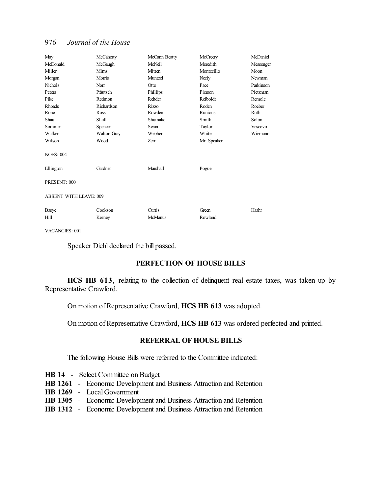| May                           | McCaherty   | McCann Beatty | McCreery    | McDaniel  |
|-------------------------------|-------------|---------------|-------------|-----------|
| McDonald                      | McGaugh     | McNeil        | Meredith    | Messenger |
| Miller                        | Mims        | Mitten        | Montecillo  | Moon      |
| Morgan                        | Morris      | Muntzel       | Neely       | Newman    |
| <b>Nichols</b>                | Norr        | Otto          | Pace        | Parkinson |
| Peters                        | Pfautsch    | Phillips      | Pierson     | Pietzman  |
| Pike                          | Redmon      | Rehder        | Reiboldt    | Remole    |
| Rhoads                        | Richardson  | <b>Rizzo</b>  | Roden       | Roeber    |
| Rone                          | Ross        | Rowden        | Runions     | Ruth      |
| Shaul                         | Shull       | Shumake       | Smith       | Solon     |
| Sommer                        | Spencer     | Swan          | Taylor      | Vescovo   |
| Walker                        | Walton Gray | Webber        | White       | Wiemann   |
| Wilson                        | Wood        | Zerr          | Mr. Speaker |           |
| <b>NOES: 004</b>              |             |               |             |           |
| Ellington                     | Gardner     | Marshall      | Pogue       |           |
| PRESENT: 000                  |             |               |             |           |
| <b>ABSENT WITH LEAVE: 009</b> |             |               |             |           |
| Basye                         | Cookson     | Curtis        | Green       | Haahr     |
| Hill                          | Keeney      | McManus       | Rowland     |           |

VACANCIES: 001

Speaker Diehl declared the bill passed.

#### **PERFECTION OF HOUSE BILLS**

**HCS HB 613**, relating to the collection of delinquent real estate taxes, was taken up by Representative Crawford.

On motion of Representative Crawford, **HCS HB 613** was adopted.

On motion of Representative Crawford, **HCS HB 613** was ordered perfected and printed.

## **REFERRAL OF HOUSE BILLS**

The following House Bills were referred to the Committee indicated:

|  | <b>HB 14</b> - Select Committee on Budget                                   |
|--|-----------------------------------------------------------------------------|
|  | <b>HB 1261</b> - Economic Development and Business Attraction and Retention |
|  | <b>HB 1269</b> - Local Government                                           |
|  | <b>HB 1305</b> - Economic Development and Business Attraction and Retention |
|  | <b>HB 1312</b> - Economic Development and Business Attraction and Retention |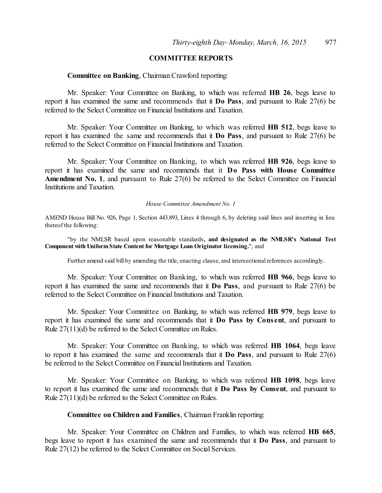# **COMMITTEE REPORTS**

#### **Committee on Banking**, Chairman Crawford reporting:

Mr. Speaker: Your Committee on Banking, to which was referred **HB 26**, begs leave to report it has examined the same and recommends that it **Do Pass**, and pursuant to Rule 27(6) be referred to the Select Committee on Financial Institutions and Taxation.

Mr. Speaker: Your Committee on Banking, to which was referred **HB 512**, begs leave to report it has examined the same and recommends that it **Do Pass**, and pursuant to Rule 27(6) be referred to the Select Committee on Financial Institutions and Taxation.

Mr. Speaker: Your Committee on Banking, to which was referred **HB 926**, begs leave to report it has examined the same and recommends that it **Do Pass with House Committee Amendment No. 1**, and pursuant to Rule 27(6) be referred to the Select Committee on Financial Institutions and Taxation.

#### *House Committee Amendment No. 1*

AMEND House Bill No. 926, Page 1, Section 443.893, Lines 4 through 6, by deleting said lines and inserting in lieu thereof the following:

"by the NMLSR based upon reasonable standards**, and designated as the NMLSR's National Test Component with Uniform State Content for Mortgage Loan Originator licensing.**"; and

Further amend said bill by amending the title, enacting clause, and intersectional references accordingly.

Mr. Speaker: Your Committee on Banking, to which was referred **HB 966**, begs leave to report it has examined the same and recommends that it **Do Pass**, and pursuant to Rule 27(6) be referred to the Select Committee on Financial Institutions and Taxation.

Mr. Speaker: Your Committee on Banking, to which was referred **HB 979**, begs leave to report it has examined the same and recommends that it **Do Pass by Cons ent**, and pursuant to Rule 27(11)(d) be referred to the Select Committee on Rules.

Mr. Speaker: Your Committee on Banking, to which was referred **HB 1064**, begs leave to report it has examined the same and recommends that it **Do Pass**, and pursuant to Rule 27(6) be referred to the Select Committee on Financial Institutions and Taxation.

Mr. Speaker: Your Committee on Banking, to which was referred **HB 1098**, begs leave to report it has examined the same and recommends that it **Do Pass by Consent**, and pursuant to Rule 27(11)(d) be referred to the Select Committee on Rules.

#### **Committee on Children and Families**, Chairman Franklin reporting:

Mr. Speaker: Your Committee on Children and Families, to which was referred **HB 665**, begs leave to report it has examined the same and recommends that it **Do Pass**, and pursuant to Rule 27(12) be referred to the Select Committee on Social Services.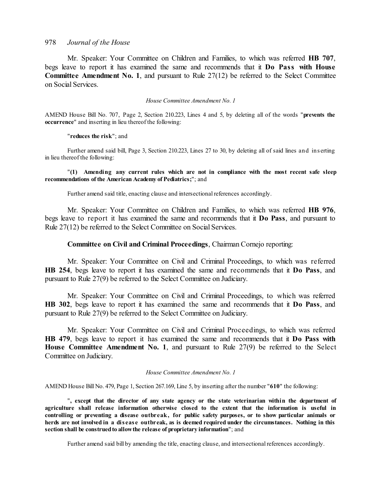Mr. Speaker: Your Committee on Children and Families, to which was referred **HB 707**, begs leave to report it has examined the same and recommends that it **Do Pass with House Committee Amendment No. 1**, and pursuant to Rule 27(12) be referred to the Select Committee on Social Services.

*House Committee Amendment No. 1*

AMEND House Bill No. 707, Page 2, Section 210.223, Lines 4 and 5, by deleting all of the words "**prevents the occurrence**" and inserting in lieu thereof the following:

#### "**reduces the risk**"; and

Further amend said bill, Page 3, Section 210.223, Lines 27 to 30, by deleting all of said lines and ins erting in lieu thereof the following:

#### "**(1) Amending any current rules which are not in compliance with the most recent safe sleep recommendations of the American Academy of Pediatrics;**"; and

Further amend said title, enacting clause and intersectional references accordingly.

Mr. Speaker: Your Committee on Children and Families, to which was referred **HB 976**, begs leave to report it has examined the same and recommends that it **Do Pass**, and pursuant to Rule 27(12) be referred to the Select Committee on Social Services.

#### **Committee on Civil and Criminal Proceedings**, Chairman Cornejo reporting:

Mr. Speaker: Your Committee on Civil and Criminal Proceedings, to which was referred **HB 254**, begs leave to report it has examined the same and recommends that it **Do Pass**, and pursuant to Rule 27(9) be referred to the Select Committee on Judiciary.

Mr. Speaker: Your Committee on Civil and Criminal Proceedings, to which was referred **HB 302**, begs leave to report it has examined the same and recommends that it **Do Pass**, and pursuant to Rule 27(9) be referred to the Select Committee on Judiciary.

Mr. Speaker: Your Committee on Civil and Criminal Proceedings, to which was referred **HB 479**, begs leave to report it has examined the same and recommends that it **Do Pass with House Committee Amendment No. 1**, and pursuant to Rule 27(9) be referred to the Select Committee on Judiciary.

#### *House Committee Amendment No. 1*

AMEND House Bill No. 479, Page 1, Section 267.169, Line 5, by inserting after the number "**610**" the following:

"**, except that the director of any state agency or the state veterinarian within the department of agriculture shall release information otherwise closed to the extent that the information is useful in controlling or preventing a disease outbreak, for public safety purposes, or to show particular animals or** herds are not involved in a disease outbreak, as is deemed required under the circumstances. Nothing in this **section shall be construedto allowthe release of proprietary information**"; and

Further amend said bill by amending the title, enacting clause, and intersectional references accordingly.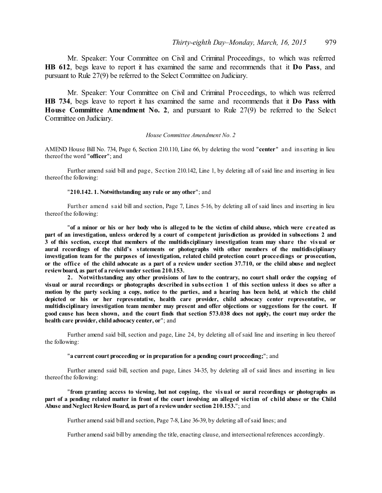Mr. Speaker: Your Committee on Civil and Criminal Proceedings, to which was referred **HB 612**, begs leave to report it has examined the same and recommends that it **Do Pass**, and pursuant to Rule 27(9) be referred to the Select Committee on Judiciary.

Mr. Speaker: Your Committee on Civil and Criminal Proceedings, to which was referred **HB 734**, begs leave to report it has examined the same and recommends that it **Do Pass with House Committee Amendment No. 2**, and pursuant to Rule 27(9) be referred to the Select Committee on Judiciary.

#### *House Committee Amendment No. 2*

AMEND House Bill No. 734, Page 6, Section 210.110, Line 66, by deleting the word "**center**" and ins erting in lieu thereof the word "**officer**"; and

Further amend said bill and page, Section 210.142, Line 1, by deleting all of said line and inserting in lieu thereof the following:

#### "**210.142. 1. Notwithstanding any rule or any other**"; and

Further amend s aid bill and section, Page 7, Lines 5-16, by deleting all of said lines and inserting in lieu thereof the following:

"of a minor or his or her body who is alleged to be the victim of child abuse, which were created as part of an investigation, unless ordered by a court of competent jurisdiction as provided in subsections 2 and 3 of this section, except that members of the multidisciplinary investigation team may share the visual or **aural recordings of the child's statements or photographs with other members of the multidisciplinary investigation team for the purposes of investigation, related child protection court proceedings or prosecution,** or the office of the child advocate as a part of a review under section 37.710, or the child abuse and neglect **reviewboard, as part of a reviewunder section 210.153.**

**2. Notwithstanding any other provisions of law to the contrary, no court shall order the copying of** visual or aural recordings or photographs described in subsection 1 of this section unless it does so after a motion by the party seeking a copy, notice to the parties, and a hearing has been held, at which the child **depicted or his or her representative, health care provider, child advocacy center representative, or multidisciplinary investigation team member may present and offer objections or suggestions for the court. If** good cause has been shown, and the court finds that section 573.038 does not apply, the court may order the **health care provider, childadvocacy center, or**"; and

Further amend said bill, section and page, Line 24, by deleting all of said line and inserting in lieu thereof the following:

#### "**a current court proceeding or in preparation for a pending court proceeding;**"; and

Further amend said bill, section and page, Lines 34-35, by deleting all of said lines and inserting in lieu thereof the following:

"**from granting access to viewing, but not copying, the visual or aural recordings or photographs as** part of a pending related matter in front of the court involving an alleged victim of child abuse or the Child **Abuse andNeglect ReviewBoard, as part of a reviewunder section 210.153.**"; and

Further amend said bill and section, Page 7-8, Line 36-39, by deleting all ofsaid lines; and

Further amend said bill by amending the title, enacting clause, and intersectional references accordingly.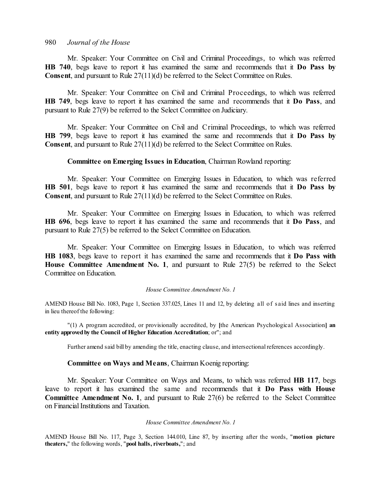Mr. Speaker: Your Committee on Civil and Criminal Proceedings, to which was referred **HB 740**, begs leave to report it has examined the same and recommends that it **Do Pass by Consent**, and pursuant to Rule 27(11)(d) be referred to the Select Committee on Rules.

Mr. Speaker: Your Committee on Civil and Criminal Proceedings, to which was referred **HB 749**, begs leave to report it has examined the same and recommends that it **Do Pass**, and pursuant to Rule 27(9) be referred to the Select Committee on Judiciary.

Mr. Speaker: Your Committee on Civil and Criminal Proceedings, to which was referred **HB 799**, begs leave to report it has examined the same and recommends that it **Do Pass by Consent**, and pursuant to Rule 27(11)(d) be referred to the Select Committee on Rules.

#### **Committee on Emerging Issues in Education**, Chairman Rowland reporting:

Mr. Speaker: Your Committee on Emerging Issues in Education, to which was referred **HB 501**, begs leave to report it has examined the same and recommends that it **Do Pass by Consent**, and pursuant to Rule 27(11)(d) be referred to the Select Committee on Rules.

Mr. Speaker: Your Committee on Emerging Issues in Education, to which was referred **HB 696**, begs leave to report it has examined the same and recommends that it **Do Pass**, and pursuant to Rule 27(5) be referred to the Select Committee on Education.

Mr. Speaker: Your Committee on Emerging Issues in Education, to which was referred **HB 1083**, begs leave to report it has examined the same and recommends that it **Do Pass with House Committee Amendment No. 1**, and pursuant to Rule 27(5) be referred to the Select Committee on Education.

#### *House Committee Amendment No. 1*

AMEND House Bill No. 1083, Page 1, Section 337.025, Lines 11 and 12, by deleting all of s aid lines and inserting in lieu thereof the following:

"(1) A program accredited, or provisionally accredited, by **[**the American Psychological Association**] an entity approvedby the Council of Higher Education Accreditation**; or"; and

Further amend said bill by amending the title, enacting clause, and intersectional references accordingly.

#### **Committee on Ways and Means**, Chairman Koenig reporting:

Mr. Speaker: Your Committee on Ways and Means, to which was referred **HB 117**, begs leave to report it has examined the same and recommends that it **Do Pass with House Committee Amendment No. 1**, and pursuant to Rule 27(6) be referred to the Select Committee on Financial Institutions and Taxation.

#### *House Committee Amendment No. 1*

AMEND House Bill No. 117, Page 3, Section 144.010, Line 87, by inserting after the words, "**motion picture theaters,**" the following words, "**pool halls, riverboats,**"; and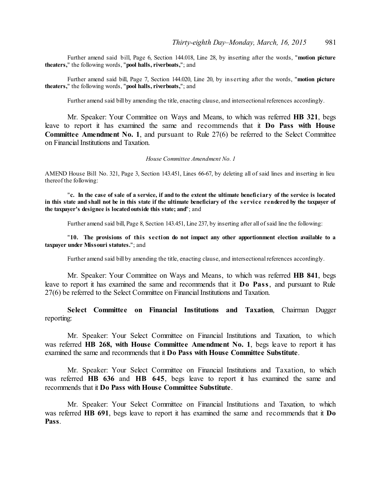Further amend said bill, Page 6, Section 144.018, Line 28, by inserting after the words, "**motion picture theaters,**" the following words, "**pool halls, riverboats,**"; and

Further amend said bill, Page 7, Section 144.020, Line 20, by ins erting after the words, "**motion picture theaters,**" the following words, "**pool halls, riverboats,**"; and

Further amend said bill by amending the title, enacting clause, and intersectional references accordingly.

Mr. Speaker: Your Committee on Ways and Means, to which was referred **HB 321**, begs leave to report it has examined the same and recommends that it **Do Pass with House Committee Amendment No. 1**, and pursuant to Rule 27(6) be referred to the Select Committee on Financial Institutions and Taxation.

#### *House Committee Amendment No. 1*

AMEND House Bill No. 321, Page 3, Section 143.451, Lines 66-67, by deleting all of said lines and inserting in lieu thereof the following:

"c. In the case of sale of a service, if and to the extent the ultimate beneficiary of the service is located in this state and shall not be in this state if the ultimate beneficiary of the service rendered by the taxpayer of **the taxpayer's designee is locatedoutside this state; and**"; and

Further amend said bill, Page 8, Section 143.451, Line 237, by inserting after all ofsaid line the following:

"**10. The provisions of this s ection do not impact any other apportionment election available to a taxpayer under Missouri statutes.**"; and

Further amend said bill by amending the title, enacting clause, and intersectional references accordingly.

Mr. Speaker: Your Committee on Ways and Means, to which was referred **HB 841**, begs leave to report it has examined the same and recommends that it **Do Pass**, and pursuant to Rule 27(6) be referred to the Select Committee on Financial Institutions and Taxation.

**Select Committee on Financial Institutions and Taxation**, Chairman Dugger reporting:

Mr. Speaker: Your Select Committee on Financial Institutions and Taxation, to which was referred **HB 268, with House Committee Amendment No. 1**, begs leave to report it has examined the same and recommends that it **Do Pass with House Committee Substitute**.

Mr. Speaker: Your Select Committee on Financial Institutions and Taxation, to which was referred **HB 636** and **HB 645**, begs leave to report it has examined the same and recommends that it **Do Pass with House Committee Substitute**.

Mr. Speaker: Your Select Committee on Financial Institutions and Taxation, to which was referred **HB 691**, begs leave to report it has examined the same and recommends that it **Do Pass**.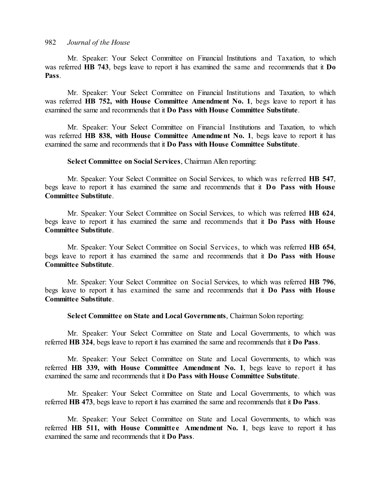Mr. Speaker: Your Select Committee on Financial Institutions and Taxation, to which was referred **HB 743**, begs leave to report it has examined the same and recommends that it **Do Pass**.

Mr. Speaker: Your Select Committee on Financial Institutions and Taxation, to which was referred **HB 752, with House Committee Amendment No. 1**, begs leave to report it has examined the same and recommends that it **Do Pass with House Committee Substitute**.

Mr. Speaker: Your Select Committee on Financial Institutions and Taxation, to which was referred **HB 838, with House Committee Amendment No. 1**, begs leave to report it has examined the same and recommends that it **Do Pass with House Committee Substitute**.

**Select Committee on Social Services**, Chairman Allen reporting:

Mr. Speaker: Your Select Committee on Social Services, to which was referred **HB 547**, begs leave to report it has examined the same and recommends that it **Do Pass with House Committee Substitute**.

Mr. Speaker: Your Select Committee on Social Services, to which was referred **HB 624**, begs leave to report it has examined the same and recommends that it **Do Pass with House Committee Substitute**.

Mr. Speaker: Your Select Committee on Social Services, to which was referred **HB 654**, begs leave to report it has examined the same and recommends that it **Do Pass with House Committee Substitute**.

Mr. Speaker: Your Select Committee on Social Services, to which was referred **HB 796**, begs leave to report it has examined the same and recommends that it **Do Pass with House Committee Substitute**.

**Select Committee on State and Local Governments**, Chairman Solon reporting:

Mr. Speaker: Your Select Committee on State and Local Governments, to which was referred **HB 324**, begs leave to report it has examined the same and recommends that it **Do Pass**.

Mr. Speaker: Your Select Committee on State and Local Governments, to which was referred **HB 339, with House Committee Amendment No. 1**, begs leave to report it has examined the same and recommends that it **Do Pass with House Committee Substitute**.

Mr. Speaker: Your Select Committee on State and Local Governments, to which was referred **HB 473**, begs leave to report it has examined the same and recommends that it **Do Pass**.

Mr. Speaker: Your Select Committee on State and Local Governments, to which was referred **HB 511, with House Committe e Amendment No. 1**, begs leave to report it has examined the same and recommends that it **Do Pass**.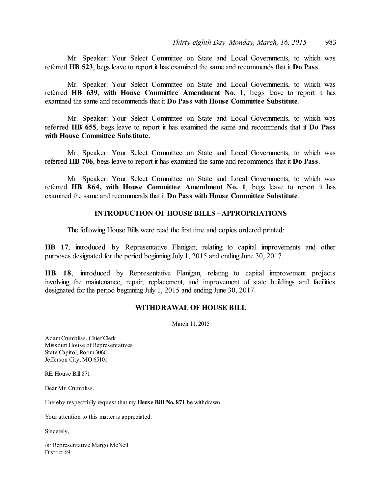Mr. Speaker: Your Select Committee on State and Local Governments, to which was referred **HB 523**, begs leave to report it has examined the same and recommends that it **Do Pass**.

Mr. Speaker: Your Select Committee on State and Local Governments, to which was referred **HB 639, with House Committee Amendment No. 1**, begs leave to report it has examined the same and recommends that it **Do Pass with House Committee Substitute**.

Mr. Speaker: Your Select Committee on State and Local Governments, to which was referred **HB 655**, begs leave to report it has examined the same and recommends that it **Do Pass with House Committee Substitute**.

Mr. Speaker: Your Select Committee on State and Local Governments, to which was referred **HB 706**, begs leave to report it has examined the same and recommends that it **Do Pass**.

Mr. Speaker: Your Select Committee on State and Local Governments, to which was referred **HB 864, with House Committee Amendment No. 1**, begs leave to report it has examined the same and recommends that it **Do Pass with House Committee Substitute**.

#### **INTRODUCTION OF HOUSE BILLS - APPROPRIATIONS**

The following House Bills were read the first time and copies ordered printed:

**HB 17**, introduced by Representative Flanigan, relating to capital improvements and other purposes designated for the period beginning July 1, 2015 and ending June 30, 2017.

**HB 18**, introduced by Representative Flanigan, relating to capital improvement projects involving the maintenance, repair, replacement, and improvement of state buildings and facilities designated for the period beginning July 1, 2015 and ending June 30, 2017.

#### **WITHDRAWAL OF HOUSE BILL**

March 11, 2015

AdamCrumbliss, Chief Clerk Missouri House of Representatives State Capitol, Room306C Jefferson City, MO 65101

RE: House Bill 871

Dear Mr. Crumbliss,

I hereby respectfully request that my **House Bill No. 871** be withdrawn.

Your attention to this matter is appreciated.

Sincerely,

/s/ Representative Margo McNeil District 69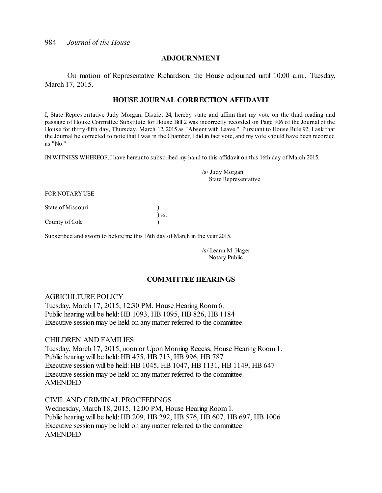#### **ADJOURNMENT**

On motion of Representative Richardson, the House adjourned until 10:00 a.m., Tuesday, March 17, 2015.

# **HOUSE JOURNAL CORRECTION AFFIDAVIT**

I, State Repres entative Judy Morgan, District 24, hereby state and affirm that my vote on the third reading and passage of House Committee Substitute for House Bill 2 was incorrectly recorded on Page 906 of the Journal of the House for thirty-fifth day, Thursday, March 12, 2015 as "Absent with Leave." Pursuant to House Rule 92, I ask that the Journal be corrected to note that I was in the Chamber, I did in fact vote, and my vote should have been recorded as "No."

IN WITNESS WHEREOF, I have hereunto subscribed my hand to this affidavit on this 16th day of March 2015.

/s/ Judy Morgan State Representative

FOR NOTARYUSE

State of Missouri (1)

County of Cole )

Subscribed and sworn to before me this 16th day of March in the year 2015.

 $)$ ss.

/s/ Leann M. Hager Notary Public

#### **COMMITTEE HEARINGS**

#### AGRICULTURE POLICY

Tuesday, March 17, 2015, 12:30 PM, House Hearing Room 6. Public hearing will be held: HB 1093, HB 1095, HB 826, HB 1184 Executive session may be held on any matter referred to the committee.

#### CHILDREN AND FAMILIES

Tuesday, March 17, 2015, noon or Upon Morning Recess, House Hearing Room 1. Public hearing will be held: HB 475, HB 713, HB 996, HB 787 Executive session will be held: HB 1045, HB 1047, HB 1131, HB 1149, HB 647 Executive session may be held on any matter referred to the committee. AMENDED

CIVIL AND CRIMINAL PROCEEDINGS Wednesday, March 18, 2015, 12:00 PM, House Hearing Room1. Public hearing will be held: HB 209, HB 292, HB 576, HB 607, HB 697, HB 1006 Executive session may be held on any matter referred to the committee. AMENDED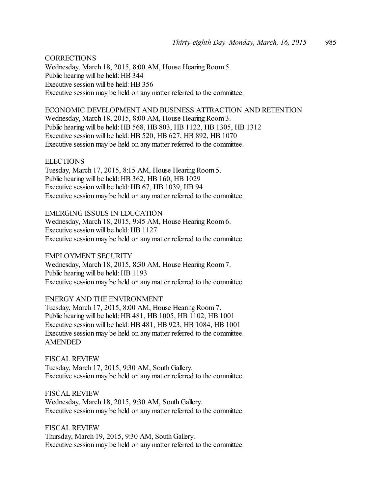**CORRECTIONS** Wednesday, March 18, 2015, 8:00 AM, House Hearing Room5. Public hearing will be held: HB 344 Executive session will be held: HB 356 Executive session may be held on any matter referred to the committee.

ECONOMIC DEVELOPMENT AND BUSINESS ATTRACTION AND RETENTION Wednesday, March 18, 2015, 8:00 AM, House Hearing Room3. Public hearing will be held: HB 568, HB 803, HB 1122, HB 1305, HB 1312 Executive session will be held: HB 520, HB 627, HB 892, HB 1070 Executive session may be held on any matter referred to the committee.

**ELECTIONS** 

Tuesday, March 17, 2015, 8:15 AM, House Hearing Room 5. Public hearing will be held: HB 362, HB 160, HB 1029 Executive session will be held: HB 67, HB 1039, HB 94 Executive session may be held on any matter referred to the committee.

EMERGING ISSUES IN EDUCATION Wednesday, March 18, 2015, 9:45 AM, House Hearing Room6. Executive session will be held: HB 1127 Executive session may be held on any matter referred to the committee.

EMPLOYMENT SECURITY Wednesday, March 18, 2015, 8:30 AM, House Hearing Room7. Public hearing will be held: HB 1193 Executive session may be held on any matter referred to the committee.

ENERGY AND THE ENVIRONMENT Tuesday, March 17, 2015, 8:00 AM, House Hearing Room 7. Public hearing will be held: HB 481, HB 1005, HB 1102, HB 1001 Executive session will be held: HB 481, HB 923, HB 1084, HB 1001 Executive session may be held on any matter referred to the committee. AMENDED

FISCAL REVIEW Tuesday, March 17, 2015, 9:30 AM, South Gallery. Executive session may be held on any matter referred to the committee.

FISCAL REVIEW Wednesday, March 18, 2015, 9:30 AM, South Gallery. Executive session may be held on any matter referred to the committee.

FISCAL REVIEW Thursday, March 19, 2015, 9:30 AM, South Gallery. Executive session may be held on any matter referred to the committee.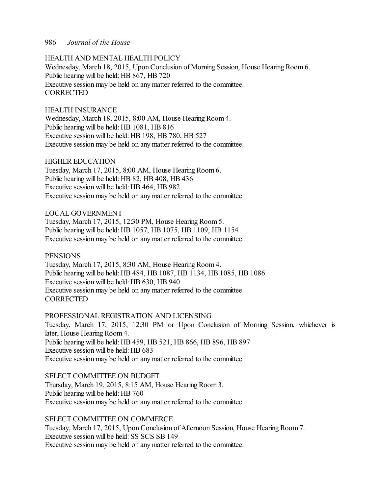#### HEALTH AND MENTAL HEALTH POLICY

Wednesday, March 18, 2015, Upon Conclusion of Morning Session, House Hearing Room 6. Public hearing will be held: HB 867, HB 720 Executive session may be held on any matter referred to the committee. **CORRECTED** 

#### HEALTH INSURANCE

Wednesday, March 18, 2015, 8:00 AM, House Hearing Room4. Public hearing will be held: HB 1081, HB 816 Executive session will be held: HB 198, HB 780, HB 527 Executive session may be held on any matter referred to the committee.

#### HIGHER EDUCATION

Tuesday, March 17, 2015, 8:00 AM, House Hearing Room 6. Public hearing will be held: HB 82, HB 408, HB 436 Executive session will be held: HB 464, HB 982 Executive session may be held on any matter referred to the committee.

#### LOCAL GOVERNMENT

Tuesday, March 17, 2015, 12:30 PM, House Hearing Room 5. Public hearing will be held: HB 1057, HB 1075, HB 1109, HB 1154 Executive session may be held on any matter referred to the committee.

#### **PENSIONS**

Tuesday, March 17, 2015, 8:30 AM, House Hearing Room 4. Public hearing will be held: HB 484, HB 1087, HB 1134, HB 1085, HB 1086 Executive session will be held: HB 630, HB 940 Executive session may be held on any matter referred to the committee. **CORRECTED** 

#### PROFESSIONAL REGISTRATION AND LICENSING

Tuesday, March 17, 2015, 12:30 PM or Upon Conclusion of Morning Session, whichever is later, House Hearing Room4. Public hearing will be held: HB 459, HB 521, HB 866, HB 896, HB 897 Executive session will be held: HB 683 Executive session may be held on any matter referred to the committee.

#### SELECT COMMITTEE ON BUDGET

Thursday, March 19, 2015, 8:15 AM, House Hearing Room 3. Public hearing will be held: HB 760 Executive session may be held on any matter referred to the committee.

## SELECT COMMITTEE ON COMMERCE

Tuesday, March 17, 2015, Upon Conclusion of Afternoon Session, House Hearing Room 7. Executive session will be held: SS SCS SB 149 Executive session may be held on any matter referred to the committee.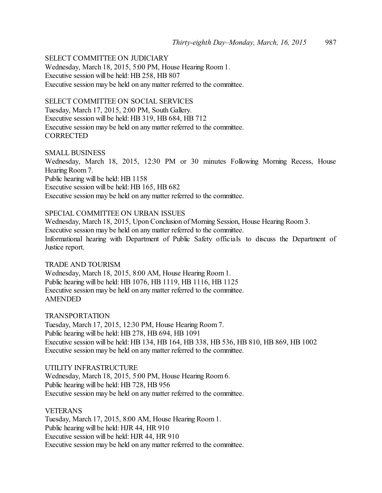# SELECT COMMITTEE ON JUDICIARY

Wednesday, March 18, 2015, 5:00 PM, House Hearing Room 1. Executive session will be held: HB 258, HB 807 Executive session may be held on any matter referred to the committee.

#### SELECT COMMITTEE ON SOCIAL SERVICES

Tuesday, March 17, 2015, 2:00 PM, South Gallery. Executive session will be held: HB 319, HB 684, HB 712 Executive session may be held on any matter referred to the committee. **CORRECTED** 

#### SMALL BUSINESS

Wednesday, March 18, 2015, 12:30 PM or 30 minutes Following Morning Recess, House Hearing Room 7. Public hearing will be held: HB 1158 Executive session will be held: HB 165, HB 682 Executive session may be held on any matter referred to the committee.

# SPECIAL COMMITTEE ON URBAN ISSUES

Wednesday, March 18, 2015, Upon Conclusion of Morning Session, House Hearing Room 3. Executive session may be held on any matter referred to the committee. Informational hearing with Department of Public Safety officials to discuss the Department of Justice report.

#### TRADE AND TOURISM

Wednesday, March 18, 2015, 8:00 AM, House Hearing Room1. Public hearing will be held: HB 1076, HB 1119, HB 1116, HB 1125 Executive session may be held on any matter referred to the committee. AMENDED

TRANSPORTATION

Tuesday, March 17, 2015, 12:30 PM, House Hearing Room 7. Public hearing will be held: HB 278, HB 694, HB 1091 Executive session will be held: HB 134, HB 164, HB 338, HB 536, HB 810, HB 869, HB 1002 Executive session may be held on any matter referred to the committee.

UTILITY INFRASTRUCTURE Wednesday, March 18, 2015, 5:00 PM, House Hearing Room 6. Public hearing will be held: HB 728, HB 956 Executive session may be held on any matter referred to the committee.

#### VETERANS

Tuesday, March 17, 2015, 8:00 AM, House Hearing Room 1. Public hearing will be held: HJR 44, HR 910 Executive session will be held: HJR 44, HR 910 Executive session may be held on any matter referred to the committee.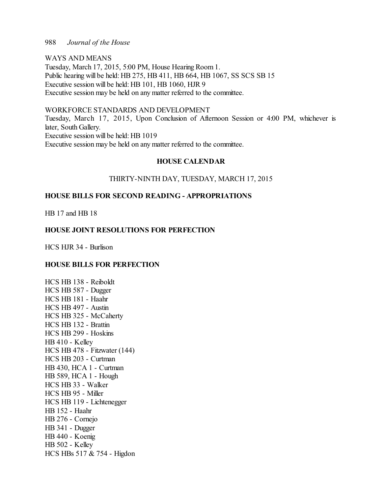WAYS AND MEANS Tuesday, March 17, 2015, 5:00 PM, House Hearing Room 1. Public hearing will be held: HB 275, HB 411, HB 664, HB 1067, SS SCS SB 15 Executive session will be held: HB 101, HB 1060, HJR 9 Executive session may be held on any matter referred to the committee.

# WORKFORCE STANDARDS AND DEVELOPMENT

Tuesday, March 17, 2015, Upon Conclusion of Afternoon Session or 4:00 PM, whichever is later, South Gallery. Executive session will be held: HB 1019 Executive session may be held on any matter referred to the committee.

#### **HOUSE CALENDAR**

#### THIRTY-NINTH DAY, TUESDAY, MARCH 17, 2015

## **HOUSE BILLS FOR SECOND READING - APPROPRIATIONS**

HB 17 and HB 18

#### **HOUSE JOINT RESOLUTIONS FOR PERFECTION**

HCS HJR 34 - Burlison

#### **HOUSE BILLS FOR PERFECTION**

HCS HB 138 - Reiboldt HCS HB 587 - Dugger HCS HB 181 - Haahr HCS HB 497 - Austin HCS HB 325 - McCaherty HCS HB 132 - Brattin HCS HB 299 - Hoskins HB 410 - Kelley HCS HB 478 - Fitzwater (144) HCS HB 203 - Curtman HB 430, HCA 1 - Curtman HB 589, HCA 1 - Hough HCS HB 33 - Walker HCS HB 95 - Miller HCS HB 119 - Lichtenegger HB 152 - Haahr HB 276 - Cornejo HB 341 - Dugger HB 440 - Koenig HB 502 - Kelley HCS HBs 517 & 754 - Higdon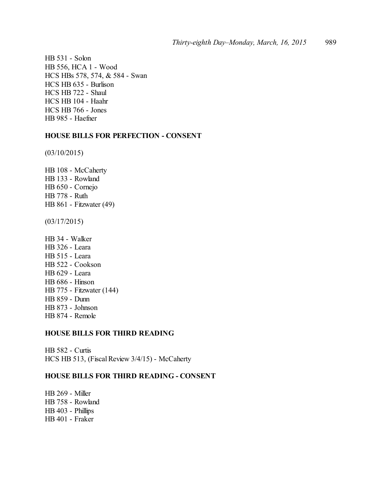HB 531 - Solon HB 556, HCA 1 - Wood HCS HBs 578, 574, & 584 - Swan HCS HB 635 - Burlison HCS HB 722 - Shaul HCS HB 104 - Haahr HCS HB 766 - Jones HB 985 - Haefner

#### **HOUSE BILLS FOR PERFECTION - CONSENT**

(03/10/2015)

HB 108 - McCaherty HB 133 - Rowland HB 650 - Cornejo HB 778 - Ruth HB 861 - Fitzwater (49)

(03/17/2015)

HB 34 - Walker HB 326 - Leara HB 515 - Leara HB 522 - Cookson HB 629 - Leara HB 686 - Hinson HB 775 - Fitzwater (144) HB 859 - Dunn HB 873 - Johnson HB 874 - Remole

## **HOUSE BILLS FOR THIRD READING**

HB 582 - Curtis HCS HB 513, (Fiscal Review 3/4/15) - McCaherty

#### **HOUSE BILLS FOR THIRD READING - CONSENT**

HB 269 - Miller HB 758 - Rowland HB 403 - Phillips HB 401 - Fraker